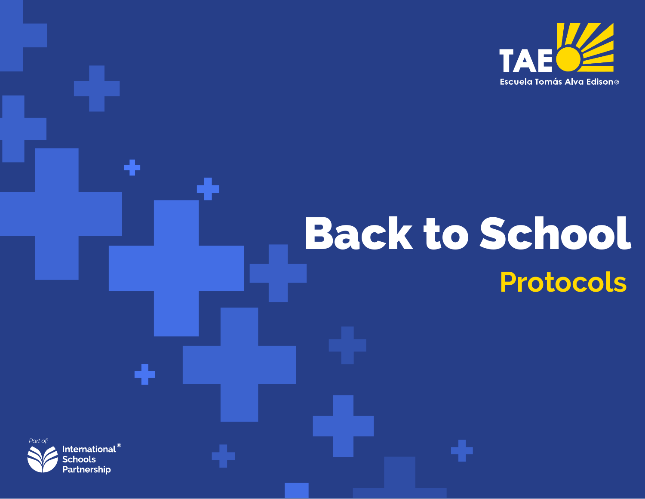

# **Protocols** Back to School



۰

٠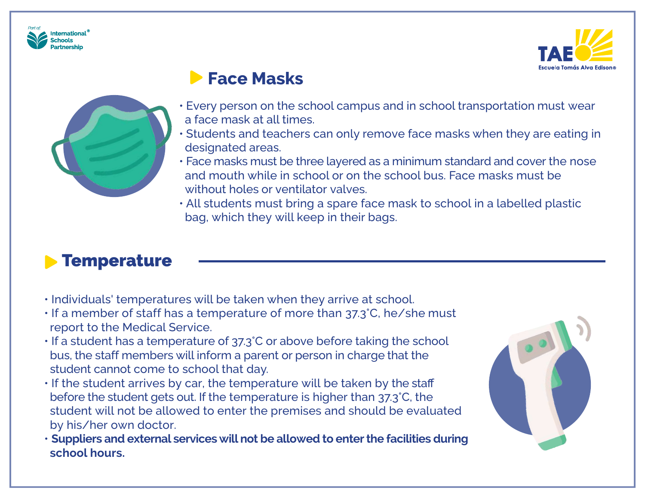



### **Face Masks**



- Every person on the school campus and in school transportation must wear a face mask at all times.
- Students and teachers can only remove face masks when they are eating in designated areas.
- Face masks must be three layered as a minimum standard and cover the nose and mouth while in school or on the school bus. Face masks must be without holes or ventilator valves.
- All students must bring a spare face mask to school in a labelled plastic bag, which they will keep in their bags.

### **Temperature**

- Individuals' temperatures will be taken when they arrive at school.
- If a member of staff has a temperature of more than 37.3°C, he/she must report to the Medical Service.
- If a student has a temperature of 37.3°C or above before taking the school bus, the staff members will inform a parent or person in charge that the student cannot come to school that day.
- If the student arrives by car, the temperature will be taken by the staff before the student gets out. If the temperature is higher than 37.3°C, the student will not be allowed to enter the premises and should be evaluated by his/her own doctor.
- **Suppliers and external services will not be allowed to enterthe facilities during school hours.**

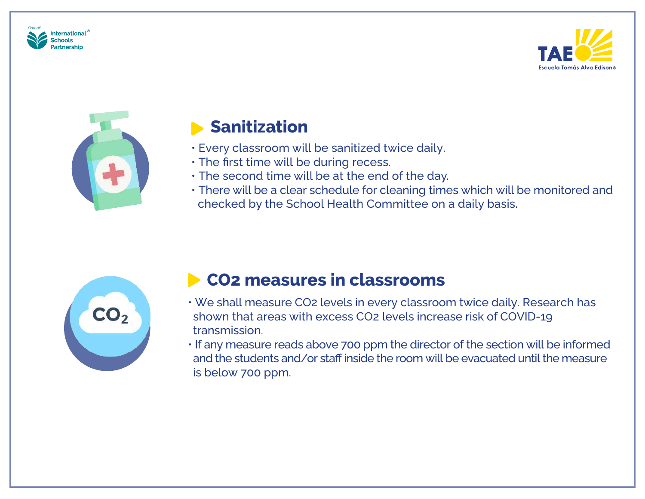





### **Sanitization**

- Every classroom will be sanitized twice daily.
- The first time will be during recess.
- The second time will be at the end of the day.
- There will be a clear schedule for cleaning times which will be monitored and checked by the School Health Committee on a daily basis.



### **CO2 measures in classrooms**

- We shall measure CO2 levels in every classroom twice daily. Research has shown that areas with excess CO2 levels increase risk of COVID-19 transmission.
- If any measure reads above 700 ppm the director of the section will be informed and the students and/or staff inside the room will be evacuated until the measure is below 700 ppm.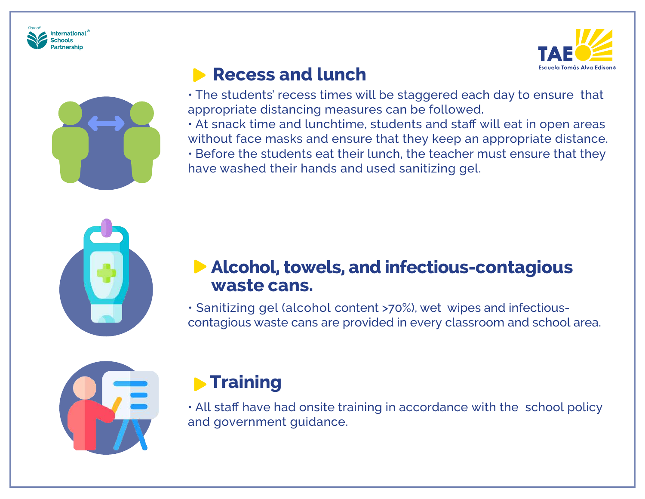





### **Recess and lunch**

• The students' recess times will be staggered each day to ensure that appropriate distancing measures can be followed.

• At snack time and lunchtime, students and staff will eat in open areas without face masks and ensure that they keep an appropriate distance.

• Before the students eat their lunch, the teacher must ensure that they have washed their hands and used sanitizing gel.



### **Alcohol, towels, and infectious-contagious waste cans.**

• Sanitizing gel (alcohol content >70%), wet wipes and infectiouscontagious waste cans are provided in every classroom and school area.



### **Fraining**

• All staff have had onsite training in accordance with the school policy and government guidance.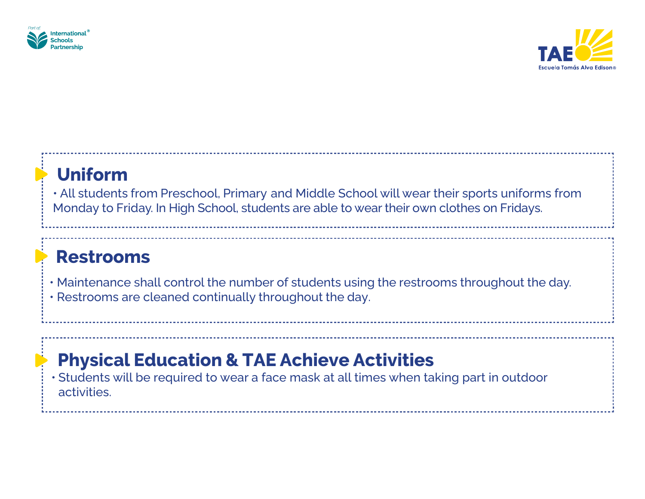



### **Uniform**

• All students from Preschool, Primary and Middle School will wear their sports uniforms from Monday to Friday. In High School, students are able to wear their own clothes on Fridays.

### **Restrooms**

- Maintenance shall control the number of students using the restrooms throughout the day.
- Restrooms are cleaned continually throughout the day.

### **Physical Education & TAE Achieve Activities**

• Students will be required to wear a face mask at all times when taking part in outdoor activities.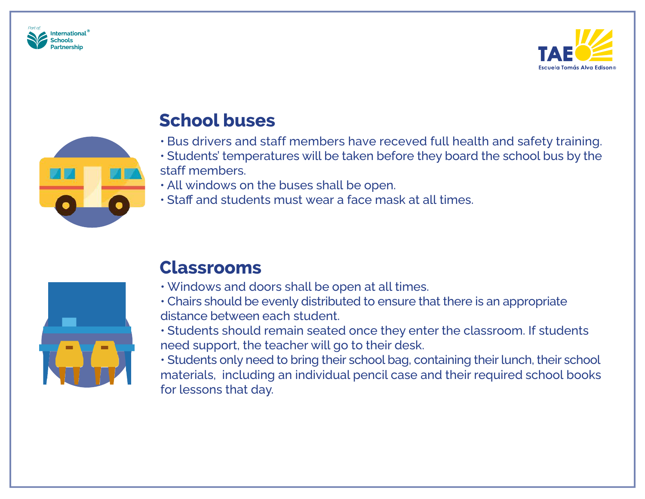





### **School buses**

- Bus drivers and staff members have receved full health and safety training.
- Students' temperatures will be taken before they board the school bus by the staff members.
- All windows on the buses shall be open.
- Staff and students must wear a face mask at all times.



### **Classrooms**

- Windows and doors shall be open at all times.
- Chairs should be evenly distributed to ensure that there is an appropriate distance between each student.
- Students should remain seated once they enter the classroom. If students need support, the teacher will go to their desk.
- Students only need to bring their school bag, containing their lunch, their school materials, including an individual pencil case and their required school books for lessons that day.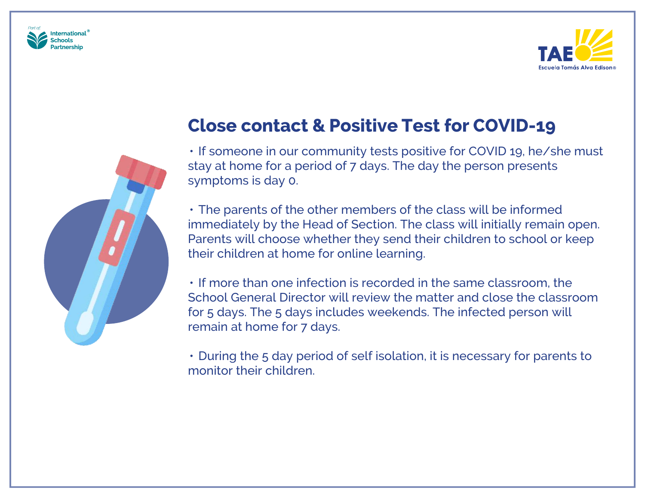





### **Close contact & Positive Test for COVID-19**

• If someone in our community tests positive for COVID 19, he/she must stay at home for a period of 7 days. The day the person presents symptoms is day 0.

• The parents of the other members of the class will be informed immediately by the Head of Section. The class will initially remain open. Parents will choose whether they send their children to school or keep their children at home for online learning.

• If more than one infection is recorded in the same classroom, the School General Director will review the matter and close the classroom for 5 days. The 5 days includes weekends. The infected person will remain at home for 7 days.

• During the 5 day period of self isolation, it is necessary for parents to monitor their children.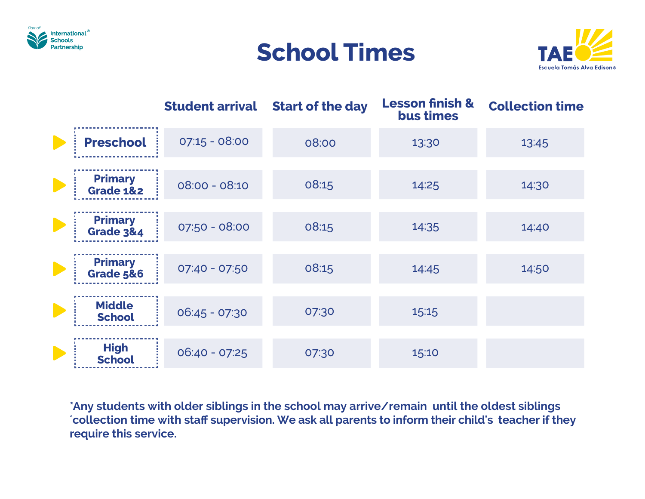





|                                        | <b>Student arrival</b> | <b>Start of the day</b> | <b>Lesson finish &amp;</b><br>bus times | <b>Collection time</b> |
|----------------------------------------|------------------------|-------------------------|-----------------------------------------|------------------------|
| <b>Preschool</b>                       | $07:15 - 08:00$        | 08:00                   | 13:30                                   | 13:45                  |
| <b>Primary</b><br><b>Grade 1&amp;2</b> | $08:00 - 08:10$        | 08:15                   | 14:25                                   | 14:30                  |
| <b>Primary</b><br><b>Grade 3&amp;4</b> | 07:50 - 08:00          | 08:15                   | 14:35                                   | 14:40                  |
| <b>Primary</b><br><b>Grade 5&amp;6</b> | 07:40 - 07:50          | 08:15                   | 14:45                                   | 14:50                  |
| <b>Middle</b><br><b>School</b>         | $06:45 - 07:30$        | 07:30                   | 15:15                                   |                        |
| <b>High</b><br><b>School</b>           | $06:40 - 07:25$        | 07:30                   | 15:10                                   |                        |

**\*Any students with older siblings in the school may arrive/remain until the oldest siblings ´collection time with staff supervision. We ask all parents to inform their child's teacher if they require this service.**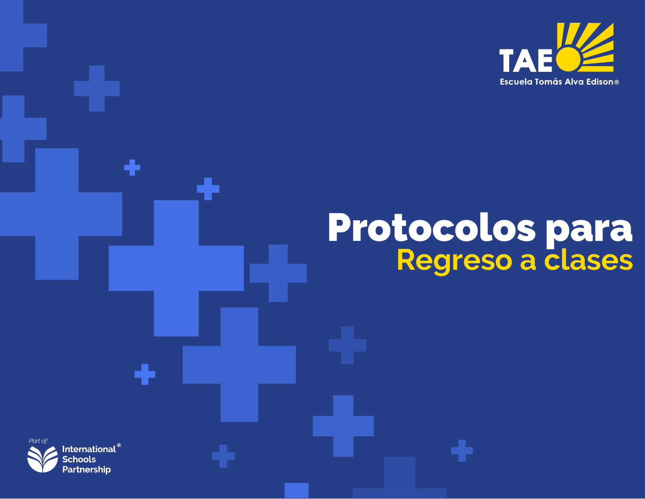

## Protocolos para **Regreso a clases**



÷

÷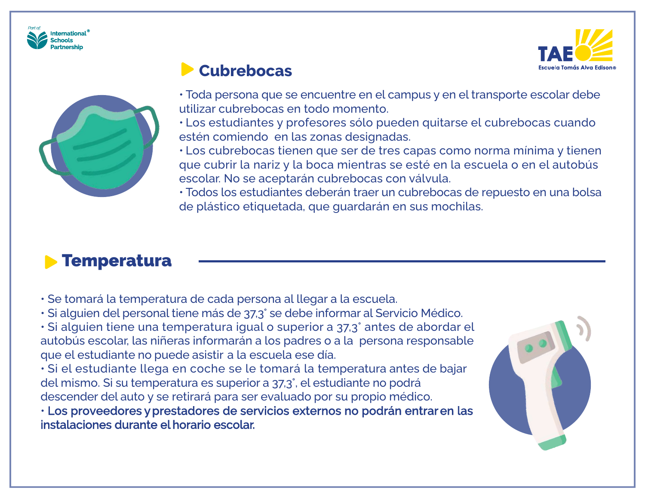





#### **Cubrebocas**

• Toda persona que se encuentre en el campus y en el transporte escolar debe utilizar cubrebocas en todo momento.

• Los estudiantes y profesores sólo pueden quitarse el cubrebocas cuando estén comiendo en las zonas designadas.

• Los cubrebocas tienen que ser de tres capas como norma mínima y tienen que cubrir la nariz y la boca mientras se esté en la escuela o en el autobús escolar. No se aceptarán cubrebocas con válvula.

• Todos los estudiantes deberán traer un cubrebocas de repuesto en una bolsa de plástico etiquetada, que guardarán en sus mochilas.

### **Temperatura**

- Se tomará la temperatura de cada persona al llegar a la escuela.
- Si alguien del personal tiene más de 37,3° se debe informar al Servicio Médico.
- Si alguien tiene una temperatura igual o superior a 37,3° antes de abordar el autobús escolar, las niñeras informarán a los padres o a la persona responsable que el estudiante no puede asistir a la escuela ese día.

• Si el estudiante llega en coche se le tomará la temperatura antes de bajar del mismo. Si su temperatura es superior a 37,3°, el estudiante no podrá descender del auto y se retirará para ser evaluado por su propio médico.

• Los proveedores y prestadores de servicios externos no podrán entrar en las instalaciones durante el horario escolar.

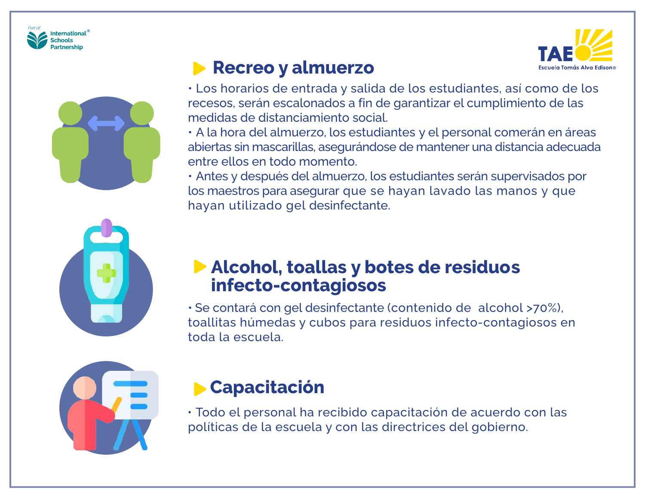



### **Recreo y almuerzo**



• Los horarios de entrada y salida de los estudiantes, así como de los recesos, serán escalonados a fin de garantizar el cumplimiento de las medidas de distanciamiento social.

• A la hora del almuerzo, los estudiantes y el personal comerán en áreas abiertas sin mascarillas, asegurándose de mantener una distancia adecuada entre ellos en todo momento.

• Antes y después del almuerzo, los estudiantes serán supervisados por los maestros para asegurar que se hayan lavado las manos y que hayan utilizado gel desinfectante.



### **Alcohol, toallas y botes de residuos infecto-contagiosos**

• Se contará con gel desinfectante (contenido de alcohol >70%), toallitas húmedas y cubos para residuos infecto-contagiosos en toda la escuela.



### **Capacitación**

• Todo el personal ha recibido capacitación de acuerdo con las políticas de la escuela y con las directrices del gobierno.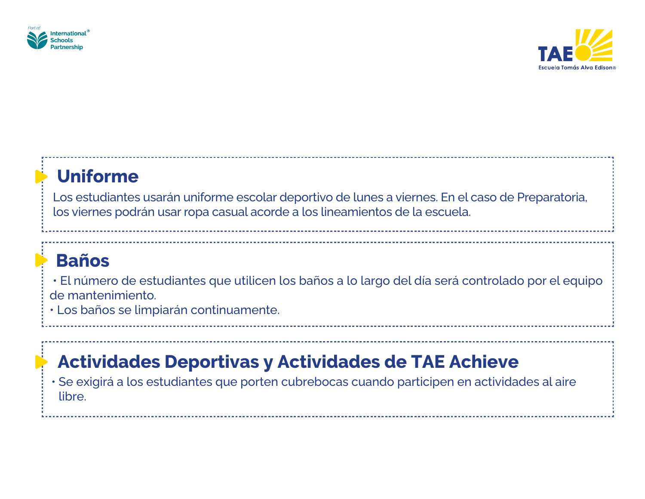



### **Uniforme**

Los estudiantes usarán uniforme escolar deportivo de lunes a viernes. En el caso de Preparatoria, los viernes podrán usar ropa casual acorde a los lineamientos de la escuela.

### **Baños**

• El número de estudiantes que utilicen los baños a lo largo del día será controlado por el equipo de mantenimiento.

• Los baños se limpiarán continuamente.

### **Actividades Deportivas y Actividades de TAE Achieve**

• Se exigirá a los estudiantes que porten cubrebocas cuando participen en actividades al aire libre.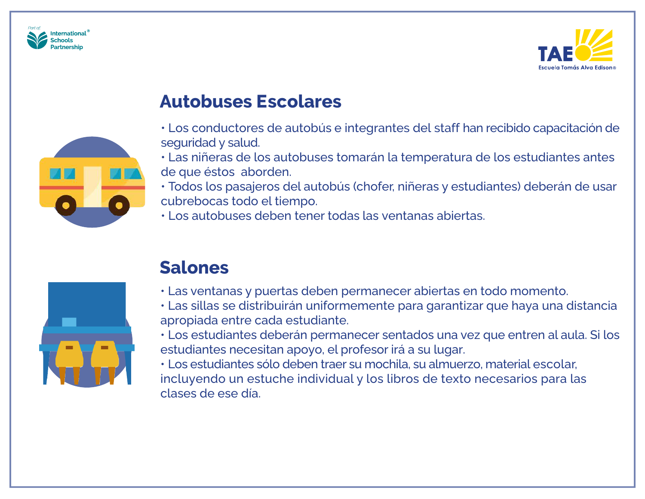





### **Autobuses Escolares**

- Los conductores de autobús e integrantes del staff han recibido capacitación de seguridad y salud.
- Las niñeras de los autobuses tomarán la temperatura de los estudiantes antes de que éstos aborden.
- Todos los pasajeros del autobús (chofer, niñeras y estudiantes) deberán de usar cubrebocas todo el tiempo.
- Los autobuses deben tener todas las ventanas abiertas.



### **Salones**

- Las ventanas y puertas deben permanecer abiertas en todo momento.
- Las sillas se distribuirán uniformemente para garantizar que haya una distancia apropiada entre cada estudiante.
- Los estudiantes deberán permanecer sentados una vez que entren al aula. Si los estudiantes necesitan apoyo, el profesor irá a su lugar.
- Los estudiantes sólo deben traer su mochila, su almuerzo, material escolar, incluyendo un estuche individual y los libros de texto necesarios para las clases de ese día.